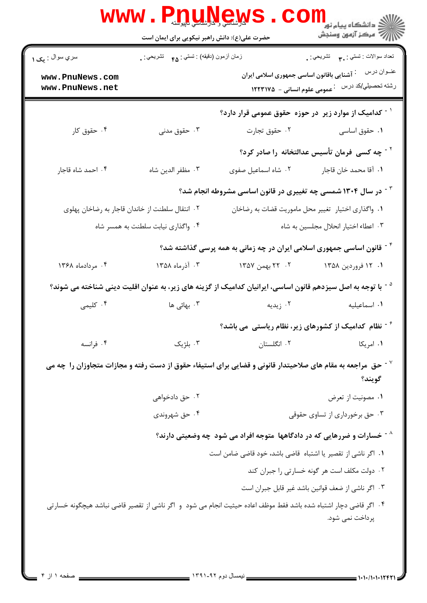| $\mathbf{WWW}$ .                   | <b>VIDUAN SAV</b><br>حضرت علی(ع): دانش راهبر نیکویی برای ایمان است                                            |                                                                                                                         | ک دانشکاه پیام نور<br>ا∛ مرکز آزمون وسنجش                |
|------------------------------------|---------------------------------------------------------------------------------------------------------------|-------------------------------------------------------------------------------------------------------------------------|----------------------------------------------------------|
| سري سوال : يک ۱                    | زمان أزمون (دقيقه) : تستي : <sub>۴۵</sub> تشريحي : <sub>.</sub><br>نعداد سوالات : تستبي : پم       تشريحي : . |                                                                                                                         |                                                          |
| www.PnuNews.com<br>www.PnuNews.net |                                                                                                               | <sup>:</sup> آشنایی باقانون اساسی جمهوری اسلامی ایران<br>۔<br>عمومی علوم انسانی -۔ ۱۲۲۳۱۷۵                              | عنــوان درس<br>رشته تحصيلي/كد درس                        |
|                                    |                                                                                                               | <sup>۱ -</sup> کدامیک از موارد زیر  در حوزه  حقوق عمومی قرار دارد؟                                                      |                                                          |
| ۰۴ حقوق کار                        | ۰۳ حقوق مدنی                                                                                                  |                                                                                                                         | ۰۱ حقوق اساسی <b>سلمان استان</b> تجارت                   |
|                                    |                                                                                                               |                                                                                                                         | <sup>۲ -</sup> چه کسی فرمان تأسیس عدالتخانه را صادر کرد؟ |
| ۰۴ احمد شاه قاجار                  | ٠٣ مظفر الدين شاه                                                                                             | ۲. شاه اسماعیل صفوی                                                                                                     | ٠١. آقا محمد خان قاجار                                   |
|                                    |                                                                                                               | <sup>۲ -</sup> در سال ۱۳۰۴ شمسی چه تغییری در قانون اساسی مشروطه انجام شد؟                                               |                                                          |
|                                    | ۰۲ انتقال سلطنت از خاندان قاجار به رضاخان پهلوی                                                               | ٠١. واگذاري اختيار تغيير محل ماموريت قضات به رضاخان                                                                     |                                                          |
|                                    | ۰۴ واگذاری نیابت سلطنت به همسر شاه                                                                            |                                                                                                                         | ۰۳ اعطاء اختیار انحلال مجلسین به شاه                     |
|                                    |                                                                                                               | <sup>۴ -</sup> قانون اساسی جمهوری اسلامی ایران در چه زمانی به همه پرسی گذاشته شد؟                                       |                                                          |
| ۰۴ مردادماه ۱۳۶۸                   | ۰۳ آذرماه ۱۳۵۸                                                                                                | ۲. ۲۲ بهمن ۱۳۵۷                                                                                                         | ۰۱ ۱۳۵۸ فروردین ۱۳۵۸                                     |
|                                    |                                                                                                               | <sup>۵ -</sup> با توجه به اصل سیزدهم قانون اساسی، ایرانیان کدامیک از گزینه های زیر، به عنوان اقلیت دینی شناخته می شوند؟ |                                                          |
| ۰۴ کلیمی                           | ۰۳ بهائی ها                                                                                                   | ۰۲ زیدیه                                                                                                                | ٠١. اسماعيليه                                            |
|                                    |                                                                                                               | $^{\circ}$ تظام کدامیک از کشورهای زیر، نظام ریاستی می باشد $^{\circ}$                                                   |                                                          |
| ۰۴ فرانسه                          | ۰۳ بلژیک                                                                                                      | ٠٢ انگلستان                                                                                                             | ۰۱ امریکا                                                |
|                                    |                                                                                                               | حق ً مراجعه به مقام های صلاحیتدار قانونی و قضایی برای استیفاء حقوق از دست رفته و مجازات متجاوزان را چه می $^{\vee}$     | گويند؟                                                   |
|                                    | ۰۲ حق دادخواهی                                                                                                |                                                                                                                         | ٠١ مصونيت از تعرض                                        |
|                                    | ۰۴ حق شهروندي                                                                                                 |                                                                                                                         | ۰۳ حق برخورداری از تساوی حقوقی                           |
|                                    |                                                                                                               | خسارات و ضررهایی که در دادگاهها ًمتوجه افراد می شود چه وضعیتی دارند؟ $^{\wedge}$                                        |                                                          |
|                                    |                                                                                                               | ٠١. اگر ناشي از تقصير يا اشتباه قاضي باشد، خود قاضي ضامن است                                                            |                                                          |
|                                    |                                                                                                               |                                                                                                                         | ۰۲ دولت مکلف است هر گونه خسارتی را جبران کند             |
|                                    |                                                                                                               |                                                                                                                         | ٠٣ اگر ناشي از ضعف قوانين باشد غير قابل جبران است        |
|                                    |                                                                                                               | ۰۴ اگر قاضی دچار اشتباه شده باشد فقط موظف اعاده حیثیت انجام می شود و اگر ناشی از تقصیر قاضی نباشد هیچگونه خسارتی        | پرداخت نمی شود.                                          |
|                                    |                                                                                                               |                                                                                                                         |                                                          |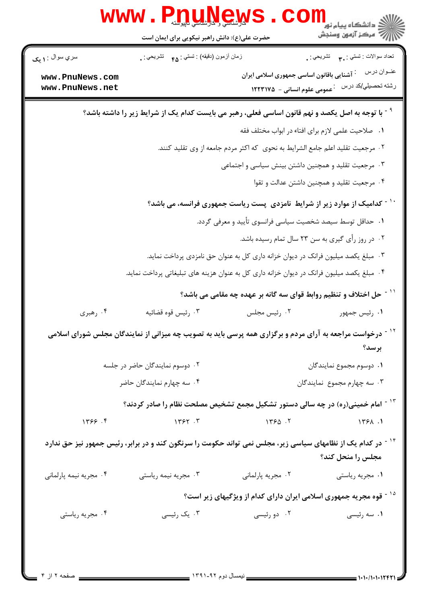|                                                            | www.<br>PnuMew                                                                                                          |                                                                                       | ی<br>دانشگاه پیام نور<br>√ مرکز آزمون وسنجش       |  |  |
|------------------------------------------------------------|-------------------------------------------------------------------------------------------------------------------------|---------------------------------------------------------------------------------------|---------------------------------------------------|--|--|
|                                                            | حضرت علی(ع): دانش راهبر نیکویی برای ایمان است                                                                           |                                                                                       |                                                   |  |  |
| سري سوال : ۱ يک                                            | زمان أزمون (دقيقه) : تستى : ۴۵ — تشريحي : .                                                                             |                                                                                       | تعداد سوالات : تستي : ٣ <b>. س</b> م تشريحي : .   |  |  |
| www.PnuNews.com<br>www.PnuNews.net                         |                                                                                                                         | <sup>:</sup> آشنایی باقانون اساسی جمهوری اسلامی ایران<br>عمومی علوم انسانی - ۱۲۲۳۱۷۵  | عنــوان درس<br>رشته تحصيلي/كد درس                 |  |  |
|                                                            | <sup>۹ -</sup> با توجه به اصل یکصد و نهم قانون اساسی فعلی، رهبر می بایست کدام یک از شرایط زیر را داشته باشد؟            |                                                                                       |                                                   |  |  |
|                                                            |                                                                                                                         |                                                                                       | ۰۱ صلاحیت علمی لازم برای افتاء در ابواب مختلف فقه |  |  |
|                                                            | ۰۲ مرجعیت تقلید اعلم جامع الشرایط به نحوی که اکثر مردم جامعه از وی تقلید کنند.                                          |                                                                                       |                                                   |  |  |
| ۰۳ مرجعیت تقلید و همچنین داشتن بینش سیاسی و اجتماعی        |                                                                                                                         |                                                                                       |                                                   |  |  |
|                                                            |                                                                                                                         |                                                                                       | ۰۴ مرجعیت تقلید و همچنین داشتن عدالت و تقوا       |  |  |
|                                                            |                                                                                                                         | <sup>۱۰ -</sup> کدامیک از موارد زیر از شرایط نامزدی پست ریاست جمهوری فرانسه، می باشد؟ |                                                   |  |  |
| ۰۱ حداقل توسط سیصد شخصیت سیاسی فرانسوی تأیید و معرفی گردد. |                                                                                                                         |                                                                                       |                                                   |  |  |
| ۰۲ در روز رأی گیری به سن ۲۳ سال تمام رسیده باشد.           |                                                                                                                         |                                                                                       |                                                   |  |  |
|                                                            |                                                                                                                         | ۰۳ مبلغ یکصد میلیون فرانک در دیوان خزانه داری کل به عنوان حق نامزدی پرداخت نماید.     |                                                   |  |  |
|                                                            | ۰۴ مبلغ یکصد میلیون فرانک در دیوان خزانه داری کل به عنوان هزینه های تبلیغاتی پرداخت نماید.                              |                                                                                       |                                                   |  |  |
|                                                            |                                                                                                                         | حل اختلاف و تنظیم روابط قوای سه گانه بر عهده چه مقامی می باشد؟                        | $-11$                                             |  |  |
| ۰۴ رهبری                                                   | ۰۳ رئيس قوه قضائيه                                                                                                      | ۰۲ رئیس مجلس                                                                          | ۰۱ رئیس جمهور                                     |  |  |
|                                                            | درخواست مراجعه به آرای مردم و برگزاری همه پرسی باید به تصویب چه میزانی از نمایندگان مجلس شورای اسلامی                   |                                                                                       |                                                   |  |  |
|                                                            |                                                                                                                         |                                                                                       | برسد؟                                             |  |  |
| ۰۲ دوسوم نمایندگان حاضر در جلسه                            |                                                                                                                         |                                                                                       | ٠١ دوسوم مجموع نمايندگان                          |  |  |
|                                                            | ۰۴ سه چهارم نمایندگان حاضر                                                                                              |                                                                                       | ۰۳ سه چهارم مجموع نمایندگان                       |  |  |
|                                                            | ۱ <sup>۳ -</sup> امام خمینی(ره) در چه سالی دستور تشکیل مجمع تشخیص مصلحت نظام را صادر کردند؟                             |                                                                                       |                                                   |  |  |
| 1499.9                                                     | 1757.7                                                                                                                  | 1490.7                                                                                | 1551.1                                            |  |  |
|                                                            | <sup>۱۴ -</sup> در کدام یک از نظامهای سیاسی زیر، مجلس نمی تواند حکومت را سرنگون کند و در برابر، رئیس جمهور نیز حق ندارد |                                                                                       | مجلس را منحل کند؟                                 |  |  |
| ۰۴ مجریه نیمه پارلمانی                                     | ۰۳ مجریه نیمه ریاستی                                                                                                    | ٠٢ مجريه پارلماني                                                                     | ٠١ مجريه رياستي                                   |  |  |
|                                                            |                                                                                                                         | <sup>۱۵ -</sup> قوه مجریه جمهوری اسلامی ایران دارای کدام از ویژگیهای زیر است؟         |                                                   |  |  |
| ۰۴ مجریه ریاستی                                            | ۰۳ يک رئيسي                                                                                                             | ۰۲ دو رئیسی                                                                           | ۰۱ سه رئیسی                                       |  |  |
| . صفحه ۲ از ۴                                              | __ نیمسال دوم ۹۲-۱۳۹۱ __                                                                                                |                                                                                       | 1.1./1.1.1242                                     |  |  |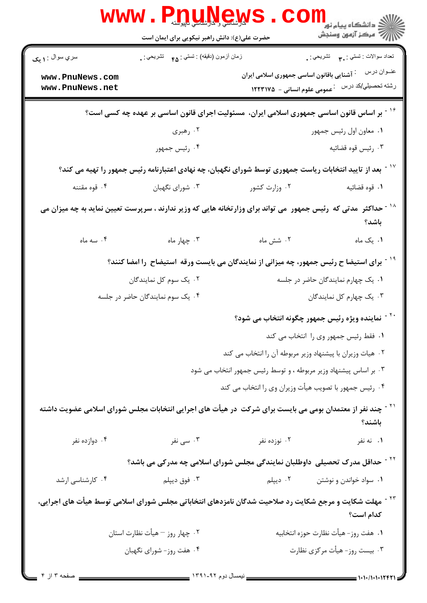| <b>WWW</b>                                                                                                                            | <b>MARY SALLA SERVICE SERVICE SERVICE SERVICE SERVICE SERVICE SERVICE SERVICE SERVICE SERVICE SERVICE SERVICE SE</b><br>حضرت علی(ع): دانش راهبر نیکویی برای ایمان است |                                                                  | ڪ دانشڪاه پيام نور<br><mark>∕</mark> 7 مرڪز آزمون وسنڊش             |  |
|---------------------------------------------------------------------------------------------------------------------------------------|-----------------------------------------------------------------------------------------------------------------------------------------------------------------------|------------------------------------------------------------------|---------------------------------------------------------------------|--|
| سري سوال : ۱ يک<br>www.PnuNews.com                                                                                                    | زمان أزمون (دقيقه) : تستى : ۴۵ — تشريحي : .                                                                                                                           | <sup>:</sup> آشنایی باقانون اساسی جمهوری اسلامی ایران            | تعداد سوالات : تستي : پم       تشريحي : <sub>.</sub><br>عنــوان درس |  |
| www.PnuNews.net                                                                                                                       |                                                                                                                                                                       | ۔<br>عمومی علوم انسانی - ۱۲۲۳۱۷۵                                 | رشته تحصيلي/كد درس                                                  |  |
| <sup>۱۶ -</sup> بر اساس قانون اساسی جمهوری اسلامی ایران،  مسئولیت اجرای قانون اساسی بر عهده چه کسی است؟                               |                                                                                                                                                                       |                                                                  |                                                                     |  |
|                                                                                                                                       | ۰۲ رهبری                                                                                                                                                              |                                                                  | ۰۱ معاون اول رئيس جمهور                                             |  |
|                                                                                                                                       | ۰۴ رئیس جمهور                                                                                                                                                         |                                                                  | ۰۳ رئيس قوه قضائيه                                                  |  |
|                                                                                                                                       | ٔ ۱ <sup>۰ -</sup> بعد از تایید انتخابات ریاست جمهوری توسط شورای نگهبان، چه نهادی اعتبارنامه رئیس جمهور را تهیه می کند؟                                               |                                                                  |                                                                     |  |
| ۰۴ قوه مقننه                                                                                                                          | ۰۳ شورای نگهبان                                                                                                                                                       | ۰۲ وزارت کشور                                                    | ٠١. قوه قضائيه                                                      |  |
| <sup>۱۸ -</sup> حداکثر  مدتی که  رئیس جمهور  می تواند برای وزارتخانه هایی که وزیر ندارند ، سرپرست تعیین نماید به چه میزان می<br>باشد؟ |                                                                                                                                                                       |                                                                  |                                                                     |  |
| ۰۴ سه ماه                                                                                                                             | ۰۳ چهار ماه                                                                                                                                                           | ٠٢ شش ماه                                                        | ۰۱ یک ماه                                                           |  |
|                                                                                                                                       | <sup>۱۹ -</sup> برای استیضا ح رئیس جمهور، چه میزانی از نمایندگان می بایست ورقه  استیضاح  را امضا کنند؟                                                                |                                                                  |                                                                     |  |
|                                                                                                                                       | ۰۲ یک سوم کل نمایندگان                                                                                                                                                |                                                                  | ۰۱ یک چهارم نمایندگان حاضر در جلسه                                  |  |
| ۰۴ یک سوم نمایندگان حاضر در جلسه                                                                                                      |                                                                                                                                                                       |                                                                  | ۰۳ یک چهارم کل نمایندگان                                            |  |
|                                                                                                                                       |                                                                                                                                                                       | <sup>۲۰ -</sup> نماینده ویژه رئیس جمهور چگونه انتخاب می شود؟     |                                                                     |  |
|                                                                                                                                       |                                                                                                                                                                       |                                                                  | ۰۱ فقط رئیس جمهور وی را انتخاب می کند                               |  |
|                                                                                                                                       |                                                                                                                                                                       | ۰۲ هیات وزیران با پیشنهاد وزیر مربوطه آن را انتخاب می کند        |                                                                     |  |
|                                                                                                                                       |                                                                                                                                                                       | ۰۳ بر اساس پیشنهاد وزیر مربوطه ، و توسط رئیس جمهور انتخاب می شود |                                                                     |  |
|                                                                                                                                       |                                                                                                                                                                       | ۰۴ رئیس جمهور با تصویب هیأت وزیران وی را انتخاب می کند           |                                                                     |  |
|                                                                                                                                       | <sup>۲۱ -</sup> چند نفر از معتمدان بومی می بایست برای شرکت  در هیأت های اجرایی انتخابات مجلس شورای اسلامی عضویت داشته                                                 |                                                                  | باشند؟                                                              |  |
| ۰۴ دوازده نفر                                                                                                                         | ۰۳ سی نفر                                                                                                                                                             | ۰۲ نوزده نفر                                                     | ۰۱ نه نفر                                                           |  |
|                                                                                                                                       | <sup>۲۲ -</sup> حداقل مدرک تحصیلی  داوطلبان نمایندگی مجلس شورای اسلامی چه مدرکی می باشد؟                                                                              |                                                                  |                                                                     |  |
| ۰۴ کارشناسی ارشد                                                                                                                      | ۰۳ فوق ديپلم                                                                                                                                                          | ۰۲ دیپلم                                                         | ۰۱ سواد خواندن و نوشتن                                              |  |
|                                                                                                                                       | <sup>۲۳ -</sup> مهلت شکایت و مرجع شکایت رد صلاحیت شدگان نامزدهای انتخاباتی مجلس شورای اسلامی توسط هیأت های اجرایی،                                                    |                                                                  | كدام است؟                                                           |  |
|                                                                                                                                       | ۰۲ چهار روز – هیأت نظارت استان                                                                                                                                        |                                                                  | ٠١. هفت روز- هيأت نظارت حوزه انتخابيه                               |  |
|                                                                                                                                       | ۰۴ هفت روز- شورای نگهبان                                                                                                                                              |                                                                  | ۰۳ بیست روز- هیأت مرکزی نظارت                                       |  |
|                                                                                                                                       |                                                                                                                                                                       |                                                                  | $\frac{1}{1}$ 1.1./1.1.12471                                        |  |